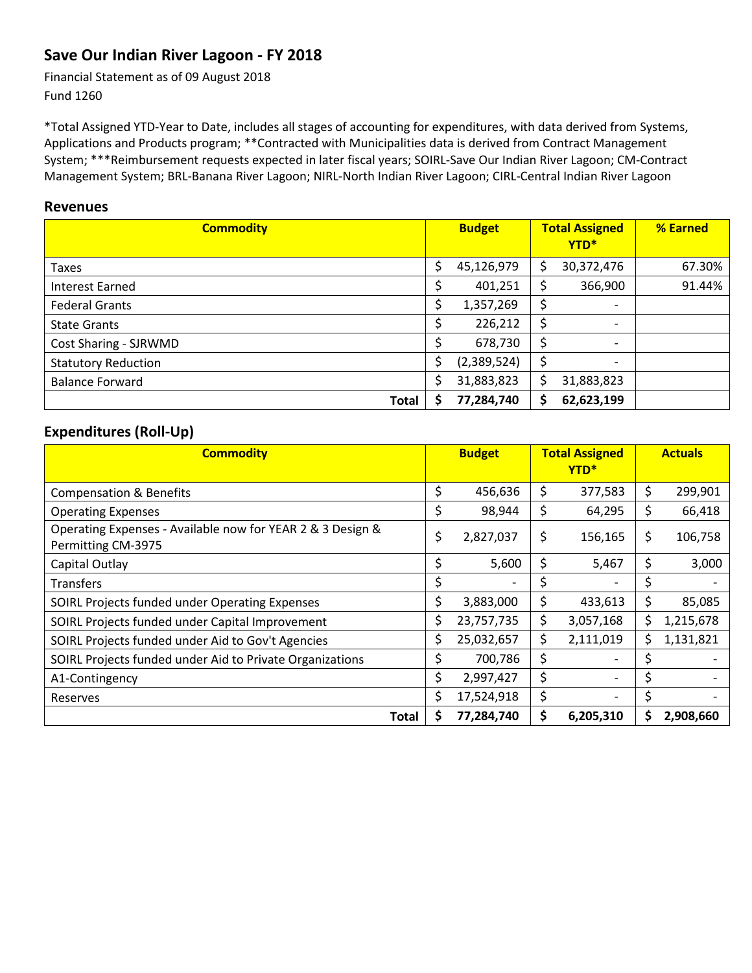### **Save Our Indian River Lagoon ‐ FY 2018**

Financial Statement as of 09 August 2018 Fund 1260

\*Total Assigned YTD‐Year to Date, includes all stages of accounting for expenditures, with data derived from Systems, Applications and Products program; \*\*Contracted with Municipalities data is derived from Contract Management System; \*\*\*Reimbursement requests expected in later fiscal years; SOIRL‐Save Our Indian River Lagoon; CM‐Contract Management System; BRL‐Banana River Lagoon; NIRL-North Indian River Lagoon; CIRL‐Central Indian River Lagoon

#### **Revenues**

| <b>Commodity</b>           | <b>Budget</b>    | <b>Total Assigned</b><br>YTD*  | % Earned |
|----------------------------|------------------|--------------------------------|----------|
| Taxes                      | \$<br>45,126,979 | \$<br>30,372,476               | 67.30%   |
| Interest Earned            | 401,251          | \$<br>366,900                  | 91.44%   |
| <b>Federal Grants</b>      | 1,357,269        | \$<br>$\overline{\phantom{a}}$ |          |
| <b>State Grants</b>        | 226,212          | \$<br>$\overline{\phantom{a}}$ |          |
| Cost Sharing - SJRWMD      | 678,730          | \$<br>$\overline{\phantom{a}}$ |          |
| <b>Statutory Reduction</b> | (2,389,524)      | \$<br>$\overline{\phantom{0}}$ |          |
| <b>Balance Forward</b>     | 31,883,823       | \$<br>31,883,823               |          |
| Total                      | 77,284,740       | \$<br>62,623,199               |          |

#### **Expenditures (Roll‐Up)**

| <b>Commodity</b>                                                                 |     | <b>Budget</b> | <b>Total Assigned</b><br>YTD <sup>*</sup> |     | <b>Actuals</b> |
|----------------------------------------------------------------------------------|-----|---------------|-------------------------------------------|-----|----------------|
| <b>Compensation &amp; Benefits</b>                                               | \$  | 456,636       | \$<br>377,583                             | \$. | 299,901        |
| <b>Operating Expenses</b>                                                        | \$  | 98,944        | \$<br>64,295                              | \$  | 66,418         |
| Operating Expenses - Available now for YEAR 2 & 3 Design &<br>Permitting CM-3975 | \$  | 2,827,037     | \$<br>156,165                             | \$  | 106,758        |
| Capital Outlay                                                                   | \$  | 5,600         | \$<br>5,467                               | \$  | 3,000          |
| <b>Transfers</b>                                                                 | \$  |               | \$                                        | \$  |                |
| SOIRL Projects funded under Operating Expenses                                   | \$  | 3,883,000     | \$<br>433,613                             | \$  | 85,085         |
| SOIRL Projects funded under Capital Improvement                                  | \$  | 23,757,735    | \$<br>3,057,168                           | S   | 1,215,678      |
| SOIRL Projects funded under Aid to Gov't Agencies                                | \$  | 25,032,657    | \$<br>2,111,019                           | S   | 1,131,821      |
| SOIRL Projects funded under Aid to Private Organizations                         | \$. | 700,786       | \$                                        | Ś   |                |
| A1-Contingency                                                                   | \$  | 2,997,427     | \$                                        | \$  |                |
| Reserves                                                                         | Ś.  | 17,524,918    | \$                                        | \$  |                |
| Total                                                                            | S   | 77,284,740    | \$<br>6,205,310                           | S   | 2,908,660      |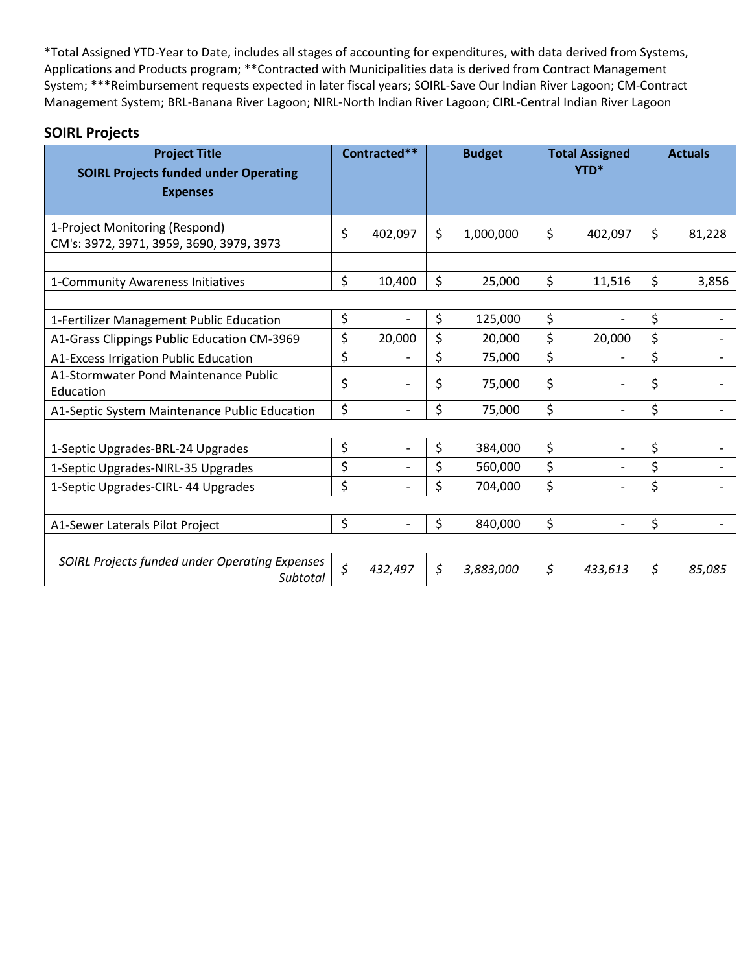| <b>Project Title</b><br><b>SOIRL Projects funded under Operating</b><br><b>Expenses</b> | Contracted**                   | <b>Budget</b>   | <b>Total Assigned</b><br>YTD* | <b>Actuals</b> |
|-----------------------------------------------------------------------------------------|--------------------------------|-----------------|-------------------------------|----------------|
| 1-Project Monitoring (Respond)<br>CM's: 3972, 3971, 3959, 3690, 3979, 3973              | \$<br>402,097                  | \$<br>1,000,000 | \$<br>402,097                 | \$<br>81,228   |
| 1-Community Awareness Initiatives                                                       | \$<br>10,400                   | \$<br>25,000    | \$<br>11,516                  | \$<br>3,856    |
| 1-Fertilizer Management Public Education                                                | \$                             | \$<br>125,000   | \$                            | \$             |
| A1-Grass Clippings Public Education CM-3969                                             | \$<br>20,000                   | \$<br>20,000    | \$<br>20,000                  | \$             |
| A1-Excess Irrigation Public Education                                                   | \$                             | \$<br>75,000    | \$                            | \$             |
| A1-Stormwater Pond Maintenance Public<br>Education                                      | \$                             | \$<br>75,000    | \$                            | \$             |
| A1-Septic System Maintenance Public Education                                           | \$                             | \$<br>75,000    | \$                            | \$             |
|                                                                                         |                                |                 |                               |                |
| 1-Septic Upgrades-BRL-24 Upgrades                                                       | \$                             | \$<br>384,000   | \$                            | \$             |
| 1-Septic Upgrades-NIRL-35 Upgrades                                                      | \$<br>$\overline{\phantom{a}}$ | \$<br>560,000   | \$                            | \$             |
| 1-Septic Upgrades-CIRL-44 Upgrades                                                      | \$                             | \$<br>704,000   | \$                            | \$             |
|                                                                                         |                                |                 |                               |                |
| A1-Sewer Laterals Pilot Project                                                         | \$                             | \$<br>840,000   | \$                            | \$             |
| SOIRL Projects funded under Operating Expenses<br>Subtotal                              | \$<br>432,497                  | \$<br>3,883,000 | \$<br>433,613                 | \$<br>85,085   |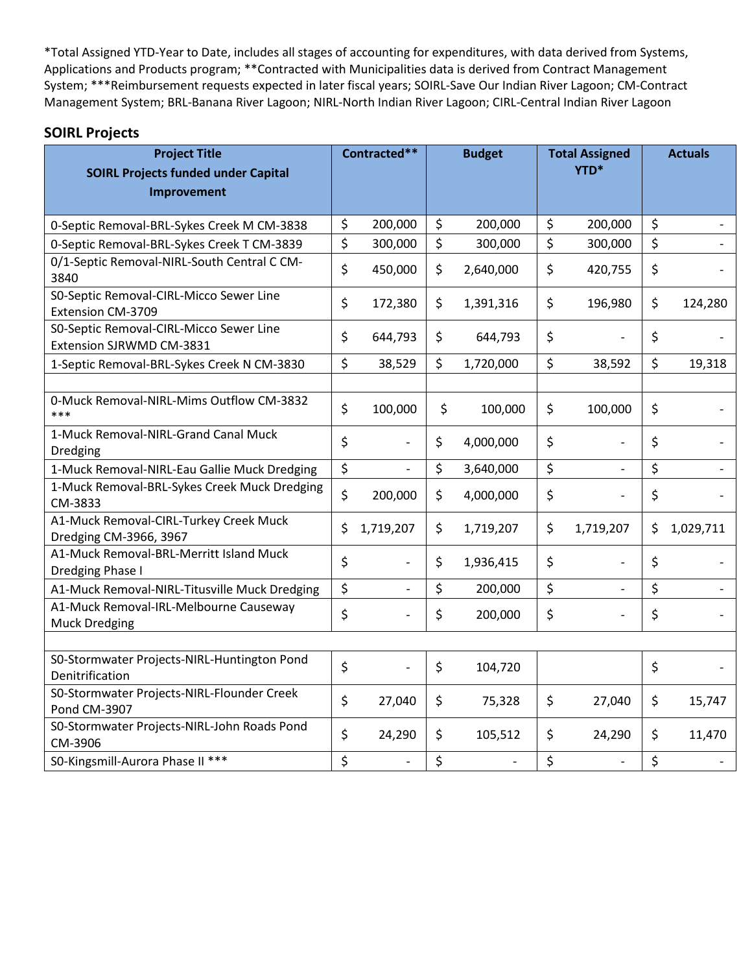| <b>Project Title</b><br><b>SOIRL Projects funded under Capital</b>  | Contracted**                   | <b>Budget</b> |           | <b>Total Assigned</b><br>YTD* |               | <b>Actuals</b> |           |
|---------------------------------------------------------------------|--------------------------------|---------------|-----------|-------------------------------|---------------|----------------|-----------|
| Improvement                                                         |                                |               |           |                               |               |                |           |
| 0-Septic Removal-BRL-Sykes Creek M CM-3838                          | \$<br>200,000                  | \$            | 200,000   | \$                            | 200,000       | \$             |           |
| 0-Septic Removal-BRL-Sykes Creek T CM-3839                          | \$<br>300,000                  | \$            | 300,000   | \$                            | 300,000       | \$             |           |
| 0/1-Septic Removal-NIRL-South Central C CM-<br>3840                 | \$<br>450,000                  | \$            | 2,640,000 | \$                            | 420,755       | \$             |           |
| S0-Septic Removal-CIRL-Micco Sewer Line<br>Extension CM-3709        | \$<br>172,380                  | \$            | 1,391,316 | \$                            | 196,980       | \$             | 124,280   |
| S0-Septic Removal-CIRL-Micco Sewer Line<br>Extension SJRWMD CM-3831 | \$<br>644,793                  | \$            | 644,793   | \$                            |               | \$             |           |
| 1-Septic Removal-BRL-Sykes Creek N CM-3830                          | \$<br>38,529                   | \$            | 1,720,000 | \$                            | 38,592        | \$             | 19,318    |
|                                                                     |                                |               |           |                               |               |                |           |
| 0-Muck Removal-NIRL-Mims Outflow CM-3832<br>***                     | \$<br>100,000                  | \$            | 100,000   | \$                            | 100,000       | $\zeta$        |           |
| 1-Muck Removal-NIRL-Grand Canal Muck<br>Dredging                    | \$                             | \$            | 4,000,000 | \$                            |               | $\zeta$        |           |
| 1-Muck Removal-NIRL-Eau Gallie Muck Dredging                        | \$                             | \$            | 3,640,000 | \$                            | $\frac{1}{2}$ | $\zeta$        |           |
| 1-Muck Removal-BRL-Sykes Creek Muck Dredging<br>CM-3833             | \$<br>200,000                  | \$            | 4,000,000 | \$                            |               | \$             |           |
| A1-Muck Removal-CIRL-Turkey Creek Muck<br>Dredging CM-3966, 3967    | \$<br>1,719,207                | \$            | 1,719,207 | \$                            | 1,719,207     | \$             | 1,029,711 |
| A1-Muck Removal-BRL-Merritt Island Muck<br>Dredging Phase I         | \$                             | \$            | 1,936,415 | \$                            |               | \$             |           |
| A1-Muck Removal-NIRL-Titusville Muck Dredging                       | \$                             | \$            | 200,000   | \$                            |               | \$             |           |
| A1-Muck Removal-IRL-Melbourne Causeway<br><b>Muck Dredging</b>      | \$                             | \$            | 200,000   | \$                            |               | \$             |           |
|                                                                     |                                |               |           |                               |               |                |           |
| S0-Stormwater Projects-NIRL-Huntington Pond<br>Denitrification      | \$                             | \$            | 104,720   |                               |               | \$             |           |
| S0-Stormwater Projects-NIRL-Flounder Creek<br>Pond CM-3907          | \$<br>27,040                   | \$            | 75,328    | \$                            | 27,040        | \$             | 15,747    |
| S0-Stormwater Projects-NIRL-John Roads Pond<br>CM-3906              | \$<br>24,290                   | \$            | 105,512   | \$                            | 24,290        | \$             | 11,470    |
| S0-Kingsmill-Aurora Phase II ***                                    | \$<br>$\overline{\phantom{0}}$ | \$            |           | \$                            |               | \$             |           |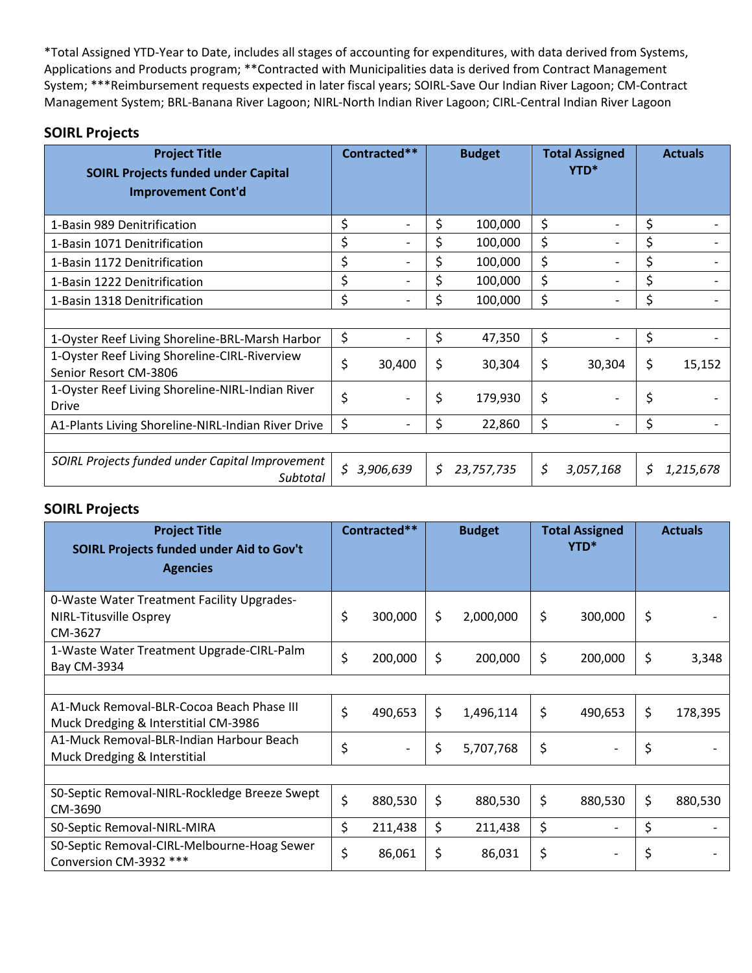#### **SOIRL Projects**

| <b>Project Title</b><br><b>SOIRL Projects funded under Capital</b><br><b>Improvement Cont'd</b> | Contracted**    | <b>Budget</b>    |         | <b>Total Assigned</b><br>YTD* | <b>Actuals</b>  |
|-------------------------------------------------------------------------------------------------|-----------------|------------------|---------|-------------------------------|-----------------|
| 1-Basin 989 Denitrification                                                                     | \$              | \$<br>100,000    | \$      | $\overline{a}$                | \$              |
| 1-Basin 1071 Denitrification                                                                    | \$              | 100,000          | \$      |                               | \$              |
| 1-Basin 1172 Denitrification                                                                    | \$              | 100,000          | \$      |                               | \$              |
| 1-Basin 1222 Denitrification                                                                    | \$              | 100,000          | \$      |                               | \$              |
| 1-Basin 1318 Denitrification                                                                    | \$              | 100,000          | \$      |                               | \$              |
|                                                                                                 |                 |                  |         |                               |                 |
| 1-Oyster Reef Living Shoreline-BRL-Marsh Harbor                                                 | \$              | \$<br>47,350     | $\zeta$ |                               | \$              |
| 1-Oyster Reef Living Shoreline-CIRL-Riverview<br>Senior Resort CM-3806                          | \$<br>30,400    | \$<br>30,304     | \$      | 30,304                        | \$<br>15,152    |
| 1-Oyster Reef Living Shoreline-NIRL-Indian River<br><b>Drive</b>                                | \$              | \$<br>179,930    | \$      |                               | \$              |
| A1-Plants Living Shoreline-NIRL-Indian River Drive                                              | \$              | \$<br>22,860     | \$      | $\overline{\phantom{0}}$      | \$              |
|                                                                                                 |                 |                  |         |                               |                 |
| SOIRL Projects funded under Capital Improvement<br>Subtotal                                     | \$<br>3,906,639 | \$<br>23,757,735 | \$      | 3,057,168                     | \$<br>1,215,678 |

| <b>Project Title</b><br>SOIRL Projects funded under Aid to Gov't<br><b>Agencies</b>    | Contracted** |         | <b>Budget</b> |           | <b>Total Assigned</b><br>YTD* |                          | <b>Actuals</b> |         |
|----------------------------------------------------------------------------------------|--------------|---------|---------------|-----------|-------------------------------|--------------------------|----------------|---------|
| 0-Waste Water Treatment Facility Upgrades-<br><b>NIRL-Titusville Osprey</b><br>CM-3627 | \$           | 300,000 | Ś.            | 2,000,000 | \$                            | 300,000                  | \$             |         |
| 1-Waste Water Treatment Upgrade-CIRL-Palm<br>Bay CM-3934                               | \$           | 200,000 | \$            | 200,000   | \$                            | 200,000                  | \$             | 3,348   |
|                                                                                        |              |         |               |           |                               |                          |                |         |
| A1-Muck Removal-BLR-Cocoa Beach Phase III<br>Muck Dredging & Interstitial CM-3986      | \$           | 490,653 | \$            | 1,496,114 | \$                            | 490,653                  | \$             | 178,395 |
| A1-Muck Removal-BLR-Indian Harbour Beach<br>Muck Dredging & Interstitial               | \$           |         | \$            | 5,707,768 | \$                            |                          | \$             |         |
|                                                                                        |              |         |               |           |                               |                          |                |         |
| SO-Septic Removal-NIRL-Rockledge Breeze Swept<br>CM-3690                               | \$           | 880,530 | \$            | 880,530   | \$                            | 880,530                  | \$             | 880,530 |
| S0-Septic Removal-NIRL-MIRA                                                            | \$           | 211,438 | \$            | 211,438   | \$                            | $\overline{\phantom{a}}$ | \$             |         |
| S0-Septic Removal-CIRL-Melbourne-Hoag Sewer<br>Conversion CM-3932 ***                  | \$           | 86,061  | \$            | 86,031    | \$                            |                          | \$             |         |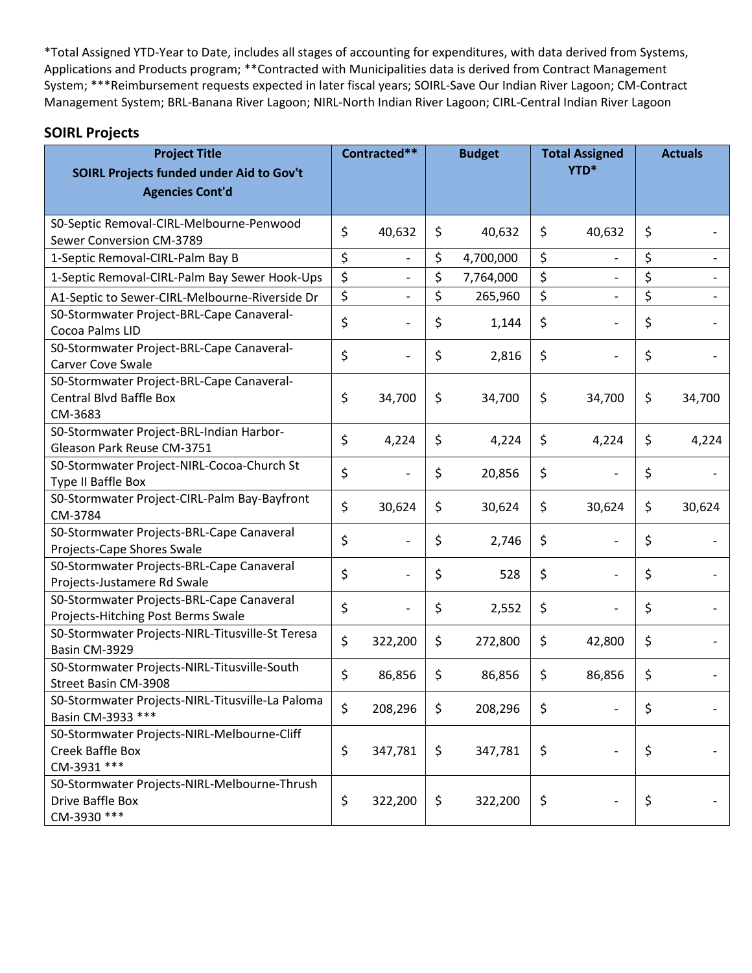| <b>Project Title</b>                                                                   | Contracted**                   | <b>Budget</b> |           | <b>Total Assigned</b><br>YTD* |                          | <b>Actuals</b> |        |
|----------------------------------------------------------------------------------------|--------------------------------|---------------|-----------|-------------------------------|--------------------------|----------------|--------|
| SOIRL Projects funded under Aid to Gov't<br><b>Agencies Cont'd</b>                     |                                |               |           |                               |                          |                |        |
|                                                                                        |                                |               |           |                               |                          |                |        |
| S0-Septic Removal-CIRL-Melbourne-Penwood<br>Sewer Conversion CM-3789                   | \$<br>40,632                   | \$            | 40,632    | \$                            | 40,632                   | \$             |        |
| 1-Septic Removal-CIRL-Palm Bay B                                                       | \$<br>$\overline{\phantom{a}}$ | \$            | 4,700,000 | \$                            | $\overline{\phantom{a}}$ | \$             |        |
| 1-Septic Removal-CIRL-Palm Bay Sewer Hook-Ups                                          | \$                             | \$            | 7,764,000 | \$                            |                          | \$             |        |
| A1-Septic to Sewer-CIRL-Melbourne-Riverside Dr                                         | \$                             | \$            | 265,960   | \$                            | $\overline{\phantom{a}}$ | \$             |        |
| S0-Stormwater Project-BRL-Cape Canaveral-<br>Cocoa Palms LID                           | \$                             | \$            | 1,144     | \$                            |                          | \$             |        |
| S0-Stormwater Project-BRL-Cape Canaveral-<br><b>Carver Cove Swale</b>                  | \$                             | \$            | 2,816     | \$                            |                          | \$             |        |
| S0-Stormwater Project-BRL-Cape Canaveral-<br><b>Central Blvd Baffle Box</b><br>CM-3683 | \$<br>34,700                   | \$            | 34,700    | \$                            | 34,700                   | \$             | 34,700 |
| S0-Stormwater Project-BRL-Indian Harbor-<br>Gleason Park Reuse CM-3751                 | \$<br>4,224                    | \$            | 4,224     | \$                            | 4,224                    | \$             | 4,224  |
| S0-Stormwater Project-NIRL-Cocoa-Church St<br>Type II Baffle Box                       | \$                             | \$            | 20,856    | \$                            |                          | \$             |        |
| S0-Stormwater Project-CIRL-Palm Bay-Bayfront<br>CM-3784                                | \$<br>30,624                   | \$            | 30,624    | \$                            | 30,624                   | \$             | 30,624 |
| S0-Stormwater Projects-BRL-Cape Canaveral<br>Projects-Cape Shores Swale                | \$                             | \$            | 2,746     | \$                            |                          | \$             |        |
| S0-Stormwater Projects-BRL-Cape Canaveral<br>Projects-Justamere Rd Swale               | \$                             | \$            | 528       | \$                            | $\overline{\phantom{0}}$ | \$             |        |
| S0-Stormwater Projects-BRL-Cape Canaveral<br>Projects-Hitching Post Berms Swale        | \$                             | \$            | 2,552     | \$                            |                          | \$             |        |
| S0-Stormwater Projects-NIRL-Titusville-St Teresa<br>Basin CM-3929                      | \$<br>322,200                  | \$            | 272,800   | \$                            | 42,800                   | \$             |        |
| S0-Stormwater Projects-NIRL-Titusville-South<br>Street Basin CM-3908                   | \$<br>86,856                   | \$            | 86,856    | \$                            | 86,856                   | \$             |        |
| S0-Stormwater Projects-NIRL-Titusville-La Paloma<br>Basin CM-3933 ***                  | \$<br>208,296                  | \$            | 208,296   | \$                            |                          | \$             |        |
| S0-Stormwater Projects-NIRL-Melbourne-Cliff<br>Creek Baffle Box<br>CM-3931 ***         | \$<br>347,781                  | \$            | 347,781   | \$                            | $\overline{\phantom{0}}$ | \$             |        |
| S0-Stormwater Projects-NIRL-Melbourne-Thrush<br>Drive Baffle Box<br>CM-3930 ***        | \$<br>322,200                  | \$            | 322,200   | \$                            |                          | \$             |        |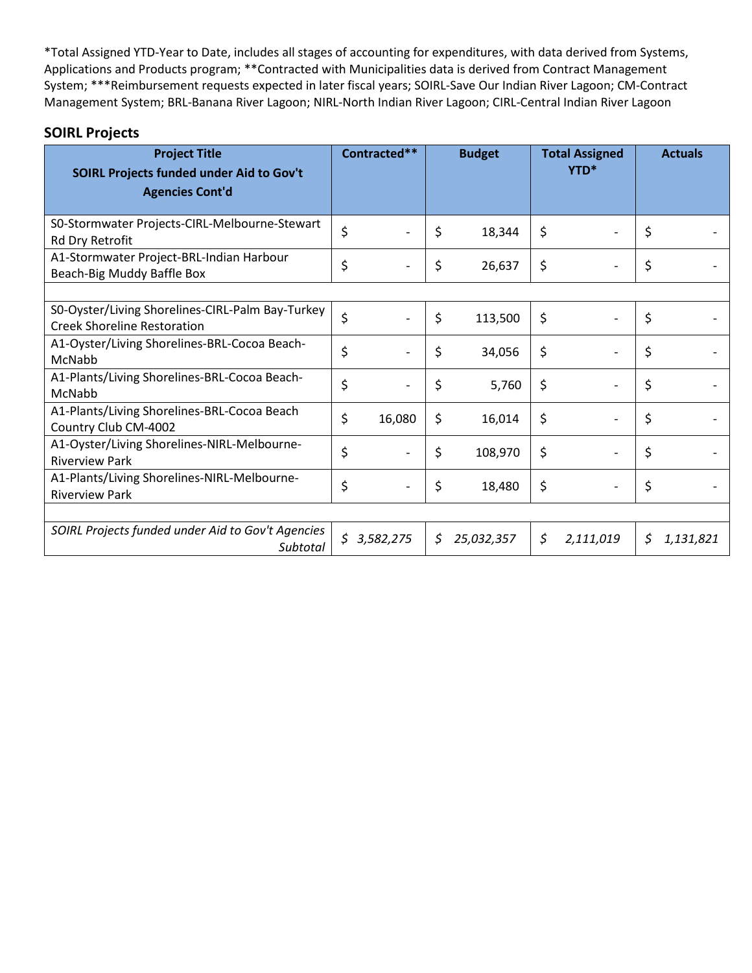| <b>Project Title</b><br>SOIRL Projects funded under Aid to Gov't                       | Contracted** | <b>Budget</b> |            | <b>Total Assigned</b><br>YTD* |                          | <b>Actuals</b> |           |
|----------------------------------------------------------------------------------------|--------------|---------------|------------|-------------------------------|--------------------------|----------------|-----------|
| <b>Agencies Cont'd</b>                                                                 |              |               |            |                               |                          |                |           |
| S0-Stormwater Projects-CIRL-Melbourne-Stewart<br>Rd Dry Retrofit                       | \$           | \$            | 18,344     | \$                            |                          | \$             |           |
| A1-Stormwater Project-BRL-Indian Harbour<br>Beach-Big Muddy Baffle Box                 | \$           | \$            | 26,637     | \$                            |                          | \$             |           |
| S0-Oyster/Living Shorelines-CIRL-Palm Bay-Turkey<br><b>Creek Shoreline Restoration</b> | \$           | \$            | 113,500    | \$                            |                          | \$             |           |
| A1-Oyster/Living Shorelines-BRL-Cocoa Beach-<br>McNabb                                 | \$           | \$            | 34,056     | \$                            | $\overline{a}$           | \$             |           |
| A1-Plants/Living Shorelines-BRL-Cocoa Beach-<br>McNabb                                 | \$           | \$            | 5,760      | \$                            |                          | \$             |           |
| A1-Plants/Living Shorelines-BRL-Cocoa Beach<br>Country Club CM-4002                    | \$<br>16,080 | \$            | 16,014     | \$                            |                          | \$             |           |
| A1-Oyster/Living Shorelines-NIRL-Melbourne-<br><b>Riverview Park</b>                   | \$           | \$            | 108,970    | \$                            |                          | \$             |           |
| A1-Plants/Living Shorelines-NIRL-Melbourne-<br><b>Riverview Park</b>                   | \$           | \$            | 18,480     | \$                            | $\overline{\phantom{0}}$ | \$             |           |
|                                                                                        |              |               |            |                               |                          |                |           |
| SOIRL Projects funded under Aid to Gov't Agencies<br>Subtotal                          | \$3,582,275  | S             | 25,032,357 | \$                            | 2,111,019                | \$             | 1,131,821 |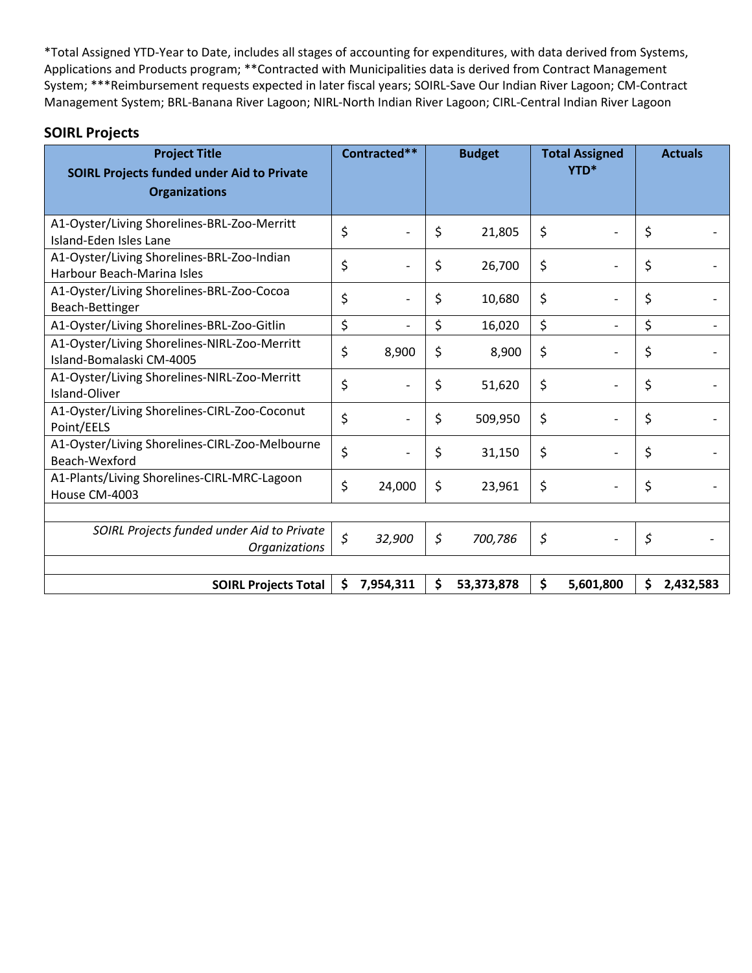| <b>Project Title</b><br><b>SOIRL Projects funded under Aid to Private</b> | Contracted** |           | <b>Budget</b> |            | <b>Total Assigned</b><br>YTD* |           | <b>Actuals</b> |           |
|---------------------------------------------------------------------------|--------------|-----------|---------------|------------|-------------------------------|-----------|----------------|-----------|
| <b>Organizations</b>                                                      |              |           |               |            |                               |           |                |           |
| A1-Oyster/Living Shorelines-BRL-Zoo-Merritt<br>Island-Eden Isles Lane     | \$           |           | \$            | 21,805     | \$                            |           | \$             |           |
| A1-Oyster/Living Shorelines-BRL-Zoo-Indian<br>Harbour Beach-Marina Isles  | \$           |           | \$            | 26,700     | \$                            |           | \$             |           |
| A1-Oyster/Living Shorelines-BRL-Zoo-Cocoa<br>Beach-Bettinger              | \$           |           | \$            | 10,680     | \$                            |           | \$             |           |
| A1-Oyster/Living Shorelines-BRL-Zoo-Gitlin                                | \$           |           | \$            | 16,020     | \$                            |           | \$             |           |
| A1-Oyster/Living Shorelines-NIRL-Zoo-Merritt<br>Island-Bomalaski CM-4005  | \$           | 8,900     | \$            | 8,900      | \$                            |           | \$             |           |
| A1-Oyster/Living Shorelines-NIRL-Zoo-Merritt<br>Island-Oliver             | \$           |           | \$            | 51,620     | \$                            |           | \$             |           |
| A1-Oyster/Living Shorelines-CIRL-Zoo-Coconut<br>Point/EELS                | \$           |           | \$            | 509,950    | \$                            |           | \$             |           |
| A1-Oyster/Living Shorelines-CIRL-Zoo-Melbourne<br>Beach-Wexford           | \$           |           | \$            | 31,150     | \$                            |           | \$             |           |
| A1-Plants/Living Shorelines-CIRL-MRC-Lagoon<br>House CM-4003              | \$           | 24,000    | \$            | 23,961     | \$                            |           | \$             |           |
|                                                                           |              |           |               |            |                               |           |                |           |
| SOIRL Projects funded under Aid to Private<br><b>Organizations</b>        | \$           | 32,900    | \$            | 700,786    | \$                            |           | \$             |           |
|                                                                           |              |           |               |            |                               |           |                |           |
| <b>SOIRL Projects Total</b>                                               | \$           | 7,954,311 | \$            | 53,373,878 | \$                            | 5,601,800 | \$             | 2,432,583 |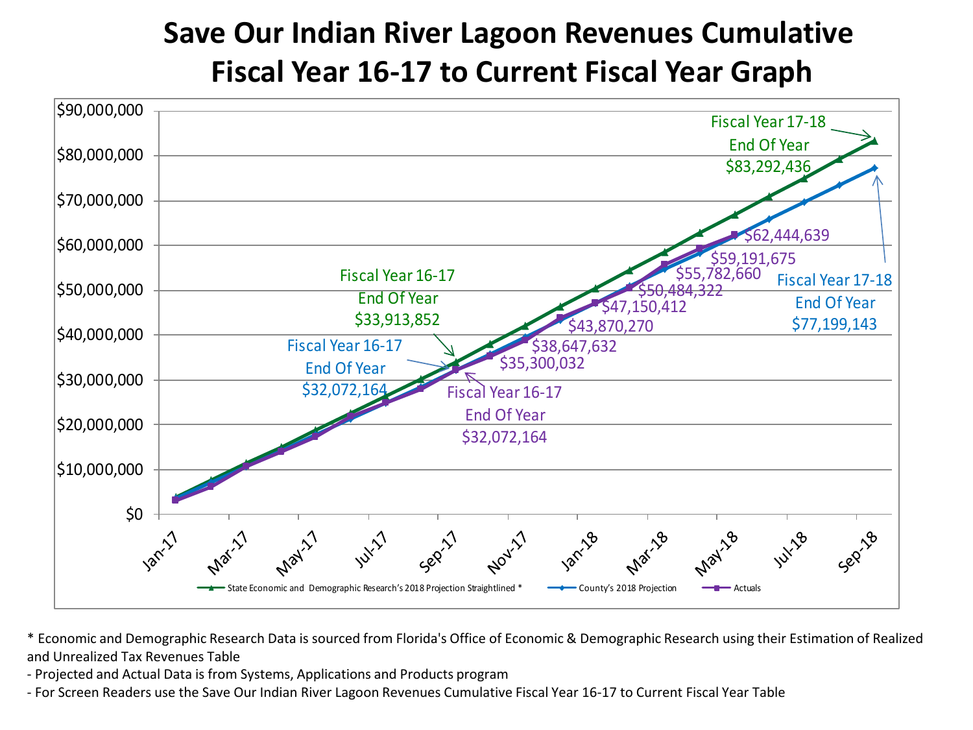# **Save Our Indian River Lagoon Revenues Cumulative Fiscal Year 16-17 to Current Fiscal Year Graph**



\* Economic and Demographic Research Data is sourced from Florida's Office of Economic & Demographic Research using their Estimation of Realized and Unrealized Tax Revenues Table

- Projected and Actual Data is from Systems, Applications and Products program

- For Screen Readers use the Save Our Indian River Lagoon Revenues Cumulative Fiscal Year 16-17 to Current Fiscal Year Table